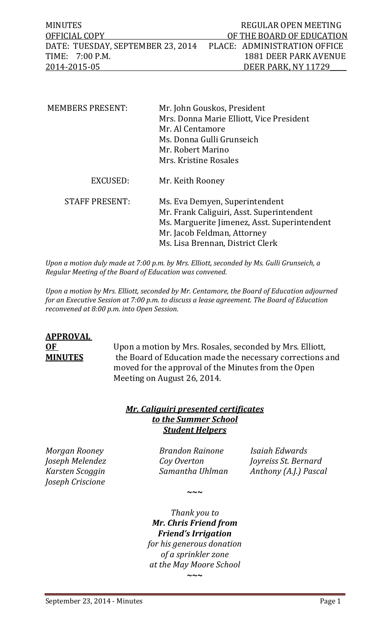| <b>MINUTES</b>                                                 | REGULAR OPEN MEETING         |
|----------------------------------------------------------------|------------------------------|
| OFFICIAL COPY                                                  | OF THE BOARD OF EDUCATION    |
| DATE: TUESDAY, SEPTEMBER 23, 2014 PLACE: ADMINISTRATION OFFICE |                              |
| TIME: 7:00 P.M.                                                | <b>1881 DEER PARK AVENUE</b> |
| 2014-2015-05                                                   | DEER PARK, NY 11729          |

| <b>MEMBERS PRESENT:</b> | Mr. John Gouskos, President<br>Mrs. Donna Marie Elliott, Vice President<br>Mr. Al Centamore<br>Ms. Donna Gulli Grunseich<br>Mr. Robert Marino                                                  |
|-------------------------|------------------------------------------------------------------------------------------------------------------------------------------------------------------------------------------------|
|                         | Mrs. Kristine Rosales                                                                                                                                                                          |
| EXCUSED:                | Mr. Keith Rooney                                                                                                                                                                               |
| <b>STAFF PRESENT:</b>   | Ms. Eva Demyen, Superintendent<br>Mr. Frank Caliguiri, Asst. Superintendent<br>Ms. Marguerite Jimenez, Asst. Superintendent<br>Mr. Jacob Feldman, Attorney<br>Ms. Lisa Brennan, District Clerk |

*Upon a motion duly made at 7:00 p.m. by Mrs. Elliott, seconded by Ms. Gulli Grunseich, a Regular Meeting of the Board of Education was convened.* 

*Upon a motion by Mrs. Elliott, seconded by Mr. Centamore, the Board of Education adjourned for an Executive Session at 7:00 p.m. to discuss a lease agreement. The Board of Education reconvened at 8:00 p.m. into Open Session.*

# **APPROVAL**

**OF** Upon a motion by Mrs. Rosales, seconded by Mrs. Elliott,<br>**MINUTES** the Board of Education made the necessary corrections a the Board of Education made the necessary corrections and moved for the approval of the Minutes from the Open Meeting on August 26, 2014.

# *Mr. Caliguiri presented certificates to the Summer School Student Helpers*

*Joseph Criscione*

*Morgan Rooney Brandon Rainone Isaiah Edwards*

**~~~**

*Joseph Melendez Coy Overton Joyreiss St. Bernard Karsten Scoggin Samantha Uhlman Anthony (A.J.) Pascal*

> *Thank you to Mr. Chris Friend from Friend's Irrigation for his generous donation of a sprinkler zone at the May Moore School* **~~~**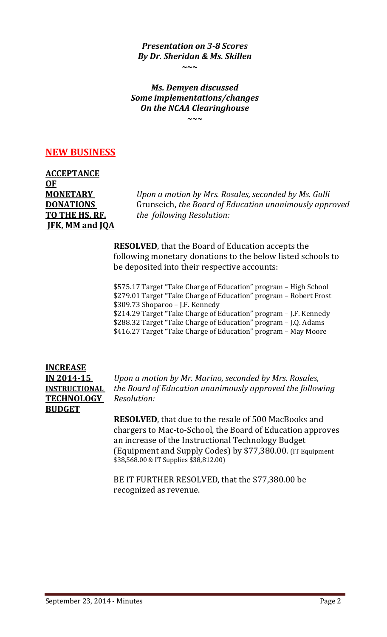*Presentation on 3-8 Scores By Dr. Sheridan & Ms. Skillen*

**~~~**

*Ms. Demyen discussed Some implementations/changes On the NCAA Clearinghouse*

*~~~*

# **NEW BUSINESS**

**ACCEPTANCE OF JFK, MM and JQA**

**MONETARY** *Upon a motion by Mrs. Rosales, seconded by Ms. Gulli*  **DONATIONS** Grunseich, *the Board of Education unanimously approved*<br> **TO THE HS, RF,** the following Resolution: *the following Resolution:* 

> **RESOLVED**, that the Board of Education accepts the following monetary donations to the below listed schools to be deposited into their respective accounts:

\$575.17 Target "Take Charge of Education" program – High School \$279.01 Target "Take Charge of Education" program – Robert Frost \$309.73 Shoparoo – J.F. Kennedy \$214.29 Target "Take Charge of Education" program – J.F. Kennedy \$288.32 Target "Take Charge of Education" program – J.Q. Adams \$416.27 Target "Take Charge of Education" program – May Moore

**INCREASE TECHNOLOGY** *Resolution:* **BUDGET** 

**IN 2014-15** *Upon a motion by Mr. Marino, seconded by Mrs. Rosales,*  **INSTRUCTIONAL** *the Board of Education unanimously approved the following*

> **RESOLVED**, that due to the resale of 500 MacBooks and chargers to Mac-to-School, the Board of Education approves an increase of the Instructional Technology Budget (Equipment and Supply Codes) by \$77,380.00. (IT Equipment \$38,568.00 & IT Supplies \$38,812.00)

BE IT FURTHER RESOLVED, that the \$77,380.00 be recognized as revenue.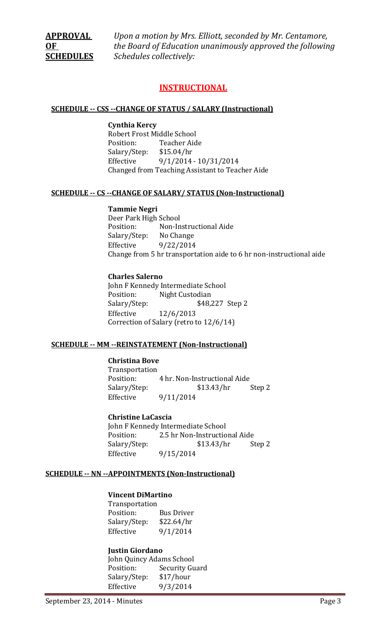**APPROVAL** *Upon a motion by Mrs. Elliott, seconded by Mr. Centamore,*  **OF** *the Board of Education unanimously approved the following*  **SCHEDULES** *Schedules collectively:*

# **INSTRUCTIONAL**

#### **SCHEDULE -- CSS --CHANGE OF STATUS / SALARY (Instructional)**

#### **Cynthia Kercy**

Robert Frost Middle School<br>Position: Teacher Aid Teacher Aide<br>\$15.04/hr Salary/Step:<br>Effective Effective 9/1/2014 - 10/31/2014 Changed from Teaching Assistant to Teacher Aide

#### **SCHEDULE -- CS --CHANGE OF SALARY/ STATUS (Non-Instructional)**

#### **Tammie Negri**

Deer Park High School<br>Position: Non-In Non-Instructional Aide<br>No Change Salary/Step:<br>Effective Effective 9/22/2014 Change from 5 hr transportation aide to 6 hr non-instructional aide

#### **Charles Salerno**

John F Kennedy Intermediate School<br>Position: Night Custodian Position: Night Custodian<br>Salary/Step: \$48,2 \$48,227 Step 2 Effective 12/6/2013 Correction of Salary (retro to 12/6/14)

#### **SCHEDULE -- MM --REINSTATEMENT (Non-Instructional)**

# **Christina Bove**

Transportation<br>Position: 4 hr. Non-Instructional Aide<br>\$13.43/hr Step 2 Salary/Step: Effective 9/11/2014

#### **Christine LaCascia**

John F Kennedy Intermediate School<br>Position: 2.5 hr Non-Instructio 2.5 hr Non-Instructional Aide<br>\$13.43/hr Step 2 Salary/Step: Effective 9/15/2014

#### **SCHEDULE -- NN --APPOINTMENTS (Non-Instructional)**

#### **Vincent DiMartino**

Transportation<br>Position: Bus Driver<br>\$22.64/hr Salary/Step:<br>Effective  $9/1/2014$ 

#### **Justin Giordano**

John Quincy Adams School<br>Position: Security Gu Security Guard<br>\$17/hour Salary/Step:<br>Effective Effective 9/3/2014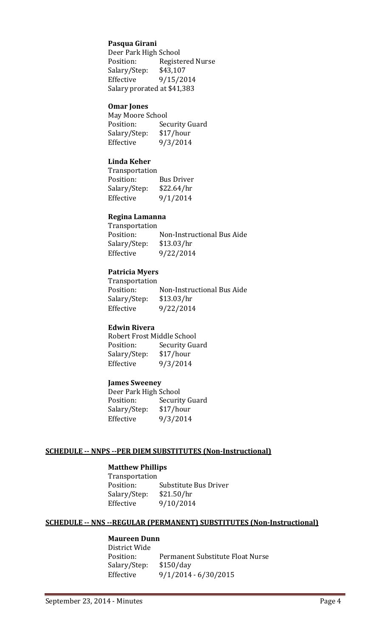# **Pasqua Girani**

Deer Park High School<br>Position: Registe Registered Nurse<br>\$43,107 Salary/Step:<br>Effective Effective 9/15/2014 Salary prorated at \$41,383

#### **Omar Jones**

| May Moore School      |
|-----------------------|
| <b>Security Guard</b> |
| \$17/hour             |
| 9/3/2014              |
|                       |

# **Linda Keher**

Transportation<br>Position: **Bus Driver** Salary/Step: \$22.64/hr<br>Effective 9/1/2014  $9/1/2014$ 

#### **Regina Lamanna**

Transportation<br>Position: Non-Instructional Bus Aide<br>\$13.03/hr Salary/Step:<br>Effective Effective 9/22/2014

# **Patricia Myers**

Transportation<br>Position: Non-Instructional Bus Aide Salary/Step: \$13.03/hr Effective 9/22/2014

#### **Edwin Rivera**

Robert Frost Middle School<br>Position: Security Gua Security Guard<br>\$17/hour Salary/Step:<br>Effective 9/3/2014

#### **James Sweeney**

Deer Park High School<br>Position: Securit Security Guard<br>\$17/hour Salary/Step:<br>Effective Effective 9/3/2014

# **SCHEDULE -- NNPS --PER DIEM SUBSTITUTES (Non-Instructional)**

## **Matthew Phillips**

Transportation Substitute Bus Driver<br>\$21.50/hr Salary/Step:<br>Effective Effective 9/10/2014

#### **SCHEDULE -- NNS --REGULAR (PERMANENT) SUBSTITUTES (Non-Instructional)**

# **Maureen Dunn**

District Wide Permanent Substitute Float Nurse<br>\$150/day Salary/Step: Effective 9/1/2014 - 6/30/2015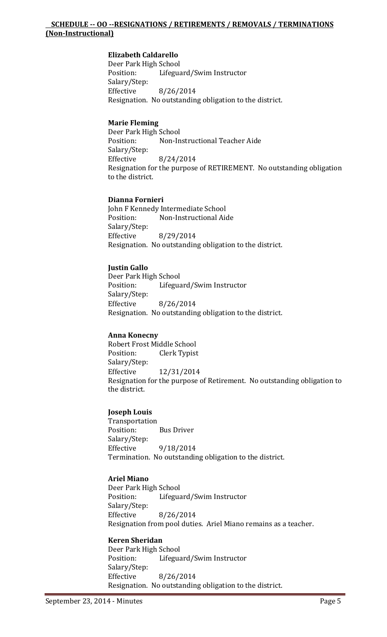# **SCHEDULE -- OO --RESIGNATIONS / RETIREMENTS / REMOVALS / TERMINATIONS (Non-Instructional)**

# **Elizabeth Caldarello**

Deer Park High School<br>Position: Lifegua Lifeguard/Swim Instructor Salary/Step:<br>Effective Effective 8/26/2014 Resignation. No outstanding obligation to the district.

# **Marie Fleming**

Deer Park High School Non-Instructional Teacher Aide Salary/Step:<br>Effective Effective 8/24/2014 Resignation for the purpose of RETIREMENT. No outstanding obligation to the district.

## **Dianna Fornieri**

John F Kennedy Intermediate School<br>Position: Mon-Instructional Aid Non-Instructional Aide Salary/Step:<br>Effective Effective 8/29/2014 Resignation. No outstanding obligation to the district.

# **Justin Gallo**

Deer Park High School<br>Position: Lifegua Lifeguard/Swim Instructor Salary/Step:<br>Effective Effective 8/26/2014 Resignation. No outstanding obligation to the district.

#### **Anna Konecny**

Robert Frost Middle School<br>Position: Clerk Typist Clerk Typist Salary/Step:<br>Effective Effective 12/31/2014 Resignation for the purpose of Retirement. No outstanding obligation to the district.

# **Joseph Louis**

Transportation **Bus Driver** Salary/Step: Effective 9/18/2014 Termination. No outstanding obligation to the district.

# **Ariel Miano**

Deer Park High School<br>Position: Lifegua Lifeguard/Swim Instructor Salary/Step: Effective 8/26/2014 Resignation from pool duties. Ariel Miano remains as a teacher.

#### **Keren Sheridan**

Deer Park High School<br>Position: Lifegua Lifeguard/Swim Instructor Salary/Step: Effective 8/26/2014 Resignation. No outstanding obligation to the district.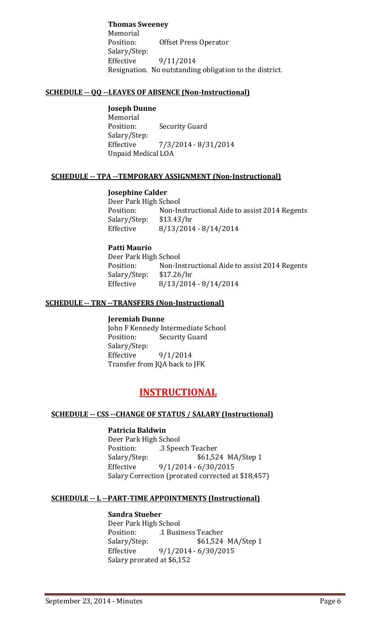**Thomas Sweeney** Memorial<br>Position: **Offset Press Operator** Salary/Step: Effective 9/11/2014 Resignation. No outstanding obligation to the district.

# **SCHEDULE -- QQ --LEAVES OF ABSENCE (Non-Instructional)**

# **Joseph Dunne**

Memorial<br>Position: **Security Guard** Salary/Step: Effective 7/3/2014 - 8/31/2014 Unpaid Medical LOA

# **SCHEDULE -- TPA --TEMPORARY ASSIGNMENT (Non-Instructional)**

# **Josephine Calder**

Deer Park High School<br>Position: Non-In Non-Instructional Aide to assist 2014 Regents \$13.43/hr Salary/Step: Effective 8/13/2014 - 8/14/2014

# **Patti Maurio**

Deer Park High School<br>Position: Non-In Non-Instructional Aide to assist 2014 Regents \$17.26/hr Salary/Step:<br>Effective  $8/13/2014 - 8/14/2014$ 

# **SCHEDULE -- TRN --TRANSFERS (Non-Instructional)**

#### **Jeremiah Dunne**

John F Kennedy Intermediate School<br>Position: Security Guard **Security Guard** Salary/Step:<br>Effective Effective 9/1/2014 Transfer from JQA back to JFK

# **INSTRUCTIONAL**

# **SCHEDULE -- CSS --CHANGE OF STATUS / SALARY (Instructional)**

# **Patricia Baldwin**

Deer Park High School<br>Position: ... 3 Spee Position: .3 Speech Teacher<br>Salary/Step: \$61,52 Salary/Step: \$61,524 MA/Step 1<br>Effective 9/1/2014 - 6/30/2015  $9/1/2014 - 6/30/2015$ Salary Correction (prorated corrected at \$18,457)

#### **SCHEDULE -- L --PART-TIME APPOINTMENTS (Instructional)**

#### **Sandra Stueber**

Deer Park High School<br>Position: 1 Busi Position: .1 Business Teacher<br>Salary/Step: \$61,524 Salary/Step: \$61,524 MA/Step 1<br>Effective 9/1/2014 - 6/30/2015  $9/1/2014 - 6/30/2015$ Salary prorated at \$6,152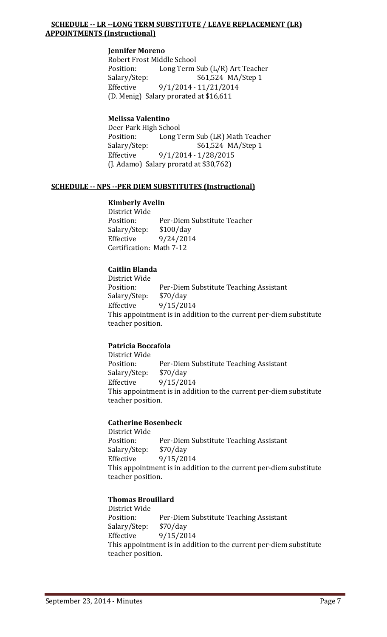# **SCHEDULE -- LR --LONG TERM SUBSTITUTE / LEAVE REPLACEMENT (LR) APPOINTMENTS (Instructional)**

## **Jennifer Moreno**

Robert Frost Middle School<br>Position: Long Term Position: Long Term Sub (L/R) Art Teacher<br>Salary/Step: \$61,524 MA/Step 1 \$61,524 MA/Step 1 Effective 9/1/2014 - 11/21/2014 (D. Menig) Salary prorated at \$16,611

# **Melissa Valentino**

Deer Park High School<br>Position: Long T Position: Long Term Sub (LR) Math Teacher<br>Salary/Step: \$61,524 MA/Step 1 \$61,524 MA/Step 1 Effective 9/1/2014 - 1/28/2015 (J. Adamo) Salary proratd at \$30,762)

## **SCHEDULE -- NPS --PER DIEM SUBSTITUTES (Instructional)**

## **Kimberly Avelin**

District Wide Per-Diem Substitute Teacher<br>\$100/day Salary/Step:<br>Effective Effective 9/24/2014 Certification: Math 7-12

# **Caitlin Blanda**

District Wide<br>Position: Per-Diem Substitute Teaching Assistant<br>\$70/day Salary/Step: Effective 9/15/2014 This appointment is in addition to the current per-diem substitute teacher position.

# **Patricia Boccafola**

District Wide<br>Position: Per-Diem Substitute Teaching Assistant<br>\$70/day Salary/Step:<br>Effective Effective 9/15/2014 This appointment is in addition to the current per-diem substitute teacher position.

# **Catherine Bosenbeck**

District Wide Per-Diem Substitute Teaching Assistant<br>\$70/day Salary/Step: Effective 9/15/2014 This appointment is in addition to the current per-diem substitute teacher position.

# **Thomas Brouillard**

District Wide Per-Diem Substitute Teaching Assistant<br>\$70/day Salary/Step:<br>Effective 9/15/2014 This appointment is in addition to the current per-diem substitute teacher position.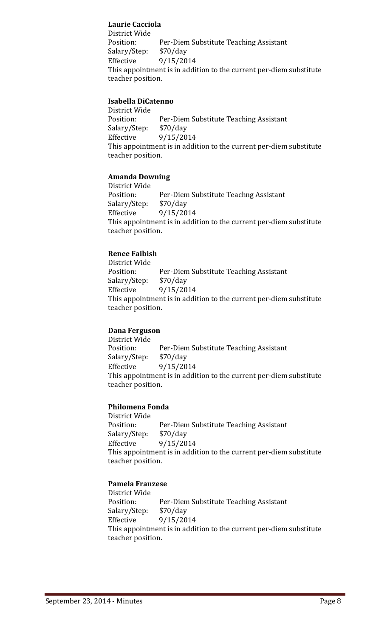# **Laurie Cacciola**

District Wide Per-Diem Substitute Teaching Assistant<br>\$70/day Salary/Step:<br>Effective 9/15/2014 This appointment is in addition to the current per-diem substitute teacher position.

# **Isabella DiCatenno**

District Wide Per-Diem Substitute Teaching Assistant<br>\$70/day Salary/Step:<br>Effective Effective 9/15/2014 This appointment is in addition to the current per-diem substitute teacher position.

# **Amanda Downing**

District Wide<br>Position: Per-Diem Substitute Teachng Assistant<br>\$70/day Salary/Step:<br>Effective Effective 9/15/2014 This appointment is in addition to the current per-diem substitute teacher position.

# **Renee Faibish**

District Wide Per-Diem Substitute Teaching Assistant<br>\$70/day Salary/Step:<br>Effective Effective 9/15/2014 This appointment is in addition to the current per-diem substitute teacher position.

# **Dana Ferguson**

District Wide Per-Diem Substitute Teaching Assistant<br>\$70/day Salary/Step:<br>Effective 9/15/2014 This appointment is in addition to the current per-diem substitute teacher position.

# **Philomena Fonda**

District Wide Per-Diem Substitute Teaching Assistant<br>\$70/day Salary/Step: Effective 9/15/2014 This appointment is in addition to the current per-diem substitute teacher position.

# **Pamela Franzese**

District Wide Per-Diem Substitute Teaching Assistant<br>\$70/day Salary/Step:<br>Effective Effective 9/15/2014 This appointment is in addition to the current per-diem substitute teacher position.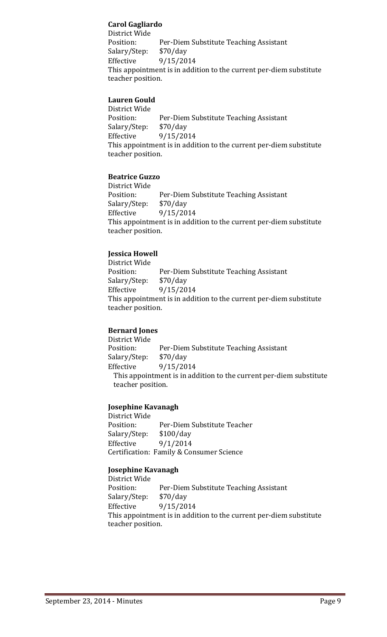# **Carol Gagliardo**

District Wide Per-Diem Substitute Teaching Assistant<br>\$70/day Salary/Step:<br>Effective 9/15/2014 This appointment is in addition to the current per-diem substitute teacher position.

# **Lauren Gould**

District Wide Per-Diem Substitute Teaching Assistant<br>\$70/day Salary/Step: Effective 9/15/2014 This appointment is in addition to the current per-diem substitute teacher position.

# **Beatrice Guzzo**

District Wide Per-Diem Substitute Teaching Assistant<br>\$70/day Salary/Step:<br>Effective 9/15/2014 This appointment is in addition to the current per-diem substitute teacher position.

# **Jessica Howell**

District Wide Per-Diem Substitute Teaching Assistant<br>\$70/day Salary/Step:<br>Effective Effective 9/15/2014 This appointment is in addition to the current per-diem substitute teacher position.

# **Bernard Jones**

District Wide Per-Diem Substitute Teaching Assistant<br>\$70/day Salary/Step: Effective 9/15/2014 This appointment is in addition to the current per-diem substitute teacher position.

# **Josephine Kavanagh**

District Wide Per-Diem Substitute Teacher<br>\$100/day Salary/Step: Effective 9/1/2014 Certification: Family & Consumer Science

# **Josephine Kavanagh**

District Wide<br>Position: Per-Diem Substitute Teaching Assistant<br>\$70/day Salary/Step:<br>Effective 9/15/2014 This appointment is in addition to the current per-diem substitute teacher position.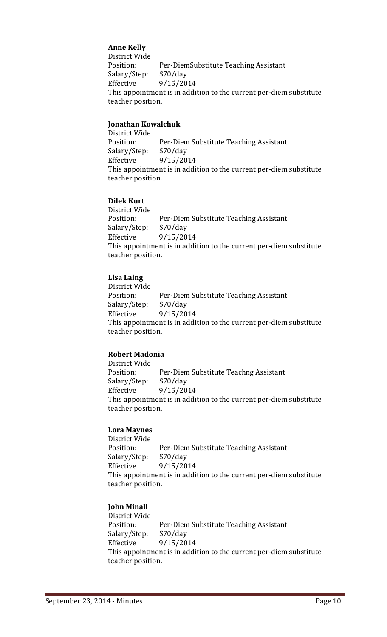# **Anne Kelly**

District Wide Per-DiemSubstitute Teaching Assistant<br>\$70/day Salary/Step:<br>Effective Effective 9/15/2014 This appointment is in addition to the current per-diem substitute teacher position.

# **Jonathan Kowalchuk**

District Wide Per-Diem Substitute Teaching Assistant<br>\$70/day Salary/Step: Effective 9/15/2014 This appointment is in addition to the current per-diem substitute teacher position.

## **Dilek Kurt**

District Wide Per-Diem Substitute Teaching Assistant<br>\$70/day Salary/Step:<br>Effective 9/15/2014 This appointment is in addition to the current per-diem substitute teacher position.

# **Lisa Laing**

District Wide Per-Diem Substitute Teaching Assistant<br>\$70/day Salary/Step: Effective 9/15/2014 This appointment is in addition to the current per-diem substitute teacher position.

# **Robert Madonia**

District Wide Per-Diem Substitute Teachng Assistant<br>\$70/day Salary/Step:<br>Effective Effective 9/15/2014 This appointment is in addition to the current per-diem substitute teacher position.

# **Lora Maynes**

District Wide Per-Diem Substitute Teaching Assistant<br>\$70/day Salary/Step:<br>Effective Effective 9/15/2014 This appointment is in addition to the current per-diem substitute teacher position.

# **John Minall**

District Wide Per-Diem Substitute Teaching Assistant<br>\$70/day Salary/Step: Effective 9/15/2014 This appointment is in addition to the current per-diem substitute teacher position.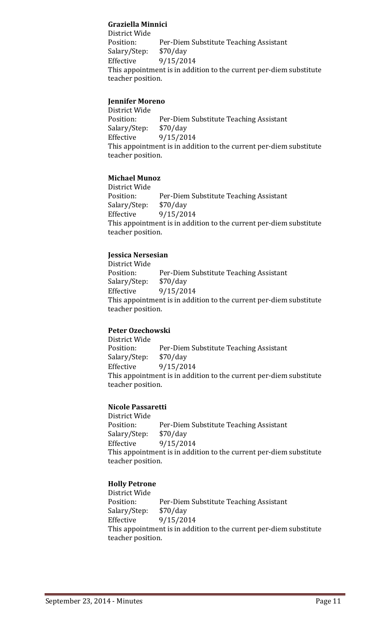# **Graziella Minnici**

District Wide Per-Diem Substitute Teaching Assistant<br>\$70/day Salary/Step:<br>Effective 9/15/2014 This appointment is in addition to the current per-diem substitute teacher position.

# **Jennifer Moreno**

District Wide Per-Diem Substitute Teaching Assistant<br>\$70/day Salary/Step:<br>Effective Effective 9/15/2014 This appointment is in addition to the current per-diem substitute teacher position.

# **Michael Munoz**

District Wide Per-Diem Substitute Teaching Assistant<br>\$70/day Salary/Step:<br>Effective Effective 9/15/2014 This appointment is in addition to the current per-diem substitute teacher position.

# **Jessica Nersesian**

District Wide Per-Diem Substitute Teaching Assistant<br>\$70/day Salary/Step:<br>Effective Effective 9/15/2014 This appointment is in addition to the current per-diem substitute teacher position.

# **Peter Ozechowski**

District Wide Per-Diem Substitute Teaching Assistant<br>\$70/day Salary/Step:<br>Effective 9/15/2014 This appointment is in addition to the current per-diem substitute teacher position.

# **Nicole Passaretti**

District Wide Per-Diem Substitute Teaching Assistant<br>\$70/day Salary/Step:<br>Effective Effective 9/15/2014 This appointment is in addition to the current per-diem substitute teacher position.

# **Holly Petrone**

District Wide Per-Diem Substitute Teaching Assistant<br>\$70/day Salary/Step:<br>Effective Effective 9/15/2014 This appointment is in addition to the current per-diem substitute teacher position.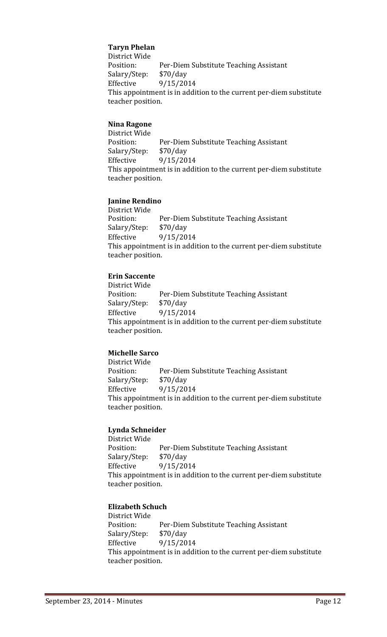# **Taryn Phelan**

District Wide Per-Diem Substitute Teaching Assistant<br>\$70/day Salary/Step:<br>Effective Effective 9/15/2014 This appointment is in addition to the current per-diem substitute teacher position.

## **Nina Ragone**

District Wide Per-Diem Substitute Teaching Assistant<br>\$70/day Salary/Step: Effective 9/15/2014 This appointment is in addition to the current per-diem substitute teacher position.

# **Janine Rendino**

District Wide Per-Diem Substitute Teaching Assistant<br>\$70/day Salary/Step:<br>Effective 9/15/2014 This appointment is in addition to the current per-diem substitute teacher position.

# **Erin Saccente**

District Wide Per-Diem Substitute Teaching Assistant<br>\$70/day Salary/Step:<br>Effective Effective 9/15/2014 This appointment is in addition to the current per-diem substitute teacher position.

#### **Michelle Sarco**

District Wide Per-Diem Substitute Teaching Assistant<br>\$70/day Salary/Step:<br>Effective Effective 9/15/2014 This appointment is in addition to the current per-diem substitute teacher position.

#### **Lynda Schneider**

District Wide Per-Diem Substitute Teaching Assistant<br>\$70/day Salary/Step:<br>Effective Effective 9/15/2014 This appointment is in addition to the current per-diem substitute teacher position.

#### **Elizabeth Schuch**

District Wide Per-Diem Substitute Teaching Assistant<br>\$70/day Salary/Step: Effective 9/15/2014 This appointment is in addition to the current per-diem substitute teacher position.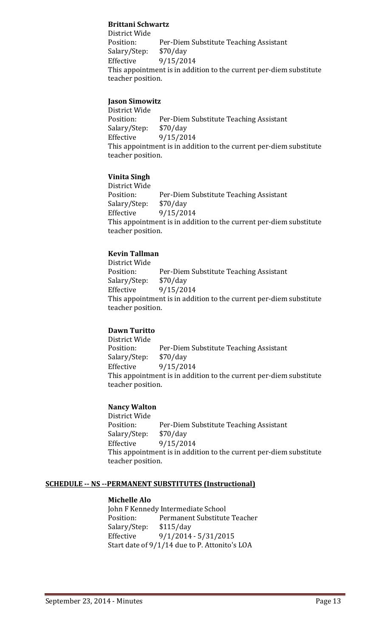# **Brittani Schwartz**

District Wide Per-Diem Substitute Teaching Assistant<br>\$70/day Salary/Step:<br>Effective 9/15/2014 This appointment is in addition to the current per-diem substitute teacher position.

# **Jason Simowitz**

District Wide Per-Diem Substitute Teaching Assistant<br>\$70/day Salary/Step:<br>Effective Effective 9/15/2014 This appointment is in addition to the current per-diem substitute teacher position.

# **Vinita Singh**

District Wide Per-Diem Substitute Teaching Assistant<br>\$70/day Salary/Step:<br>Effective 9/15/2014 This appointment is in addition to the current per-diem substitute teacher position.

# **Kevin Tallman**

District Wide Per-Diem Substitute Teaching Assistant<br>\$70/day Salary/Step:<br>Effective Effective 9/15/2014 This appointment is in addition to the current per-diem substitute teacher position.

# **Dawn Turitto**

District Wide Per-Diem Substitute Teaching Assistant<br>\$70/day Salary/Step:<br>Effective 9/15/2014 This appointment is in addition to the current per-diem substitute teacher position.

# **Nancy Walton**

District Wide Per-Diem Substitute Teaching Assistant<br>\$70/day Salary/Step:<br>Effective Effective 9/15/2014 This appointment is in addition to the current per-diem substitute teacher position.

#### **SCHEDULE -- NS --PERMANENT SUBSTITUTES (Instructional)**

#### **Michelle Alo**

John F Kennedy Intermediate School<br>Position: Permanent Substitute Permanent Substitute Teacher<br>\$115/day Salary/Step: Effective 9/1/2014 - 5/31/2015 Start date of 9/1/14 due to P. Attonito's LOA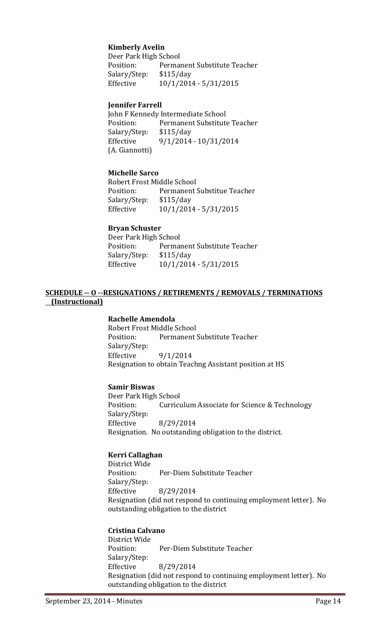## **Kimberly Avelin**

Deer Park High School<br>Position: Perma Permanent Substitute Teacher<br>\$115/day Salary/Step:<br>Effective Effective 10/1/2014 - 5/31/2015

#### **Jennifer Farrell**

John F Kennedy Intermediate School<br>Position: Permanent Substitute Permanent Substitute Teacher<br>\$115/day Salary/Step: Effective 9/1/2014 - 10/31/2014 (A. Giannotti)

## **Michelle Sarco**

Robert Frost Middle School Permanent Substitue Teacher<br>\$115/day Salary/Step:<br>Effective Effective 10/1/2014 - 5/31/2015

#### **Bryan Schuster**

Deer Park High School<br>Position: Permai Permanent Substitute Teacher<br>\$115/day Salary/Step:<br>Effective Effective 10/1/2014 - 5/31/2015

## **SCHEDULE -- O --RESIGNATIONS / RETIREMENTS / REMOVALS / TERMINATIONS (Instructional)**

#### **Rachelle Amendola**

Robert Frost Middle School Permanent Substitute Teacher Salary/Step:<br>Effective Effective 9/1/2014 Resignation to obtain Teachng Assistant position at HS

#### **Samir Biswas**

Deer Park High School<br>Position: Curricu Curriculum Associate for Science & Technology Salary/Step: Effective 8/29/2014 Resignation. No outstanding obligation to the district.

#### **Kerri Callaghan**

District Wide<br>Position: Per-Diem Substitute Teacher Salary/Step:<br>Effective Effective 8/29/2014 Resignation (did not respond to continuing employment letter). No outstanding obligation to the district

#### **Cristina Calvano**

District Wide Per-Diem Substitute Teacher Salary/Step:<br>Effective Effective 8/29/2014 Resignation (did not respond to continuing employment letter). No outstanding obligation to the district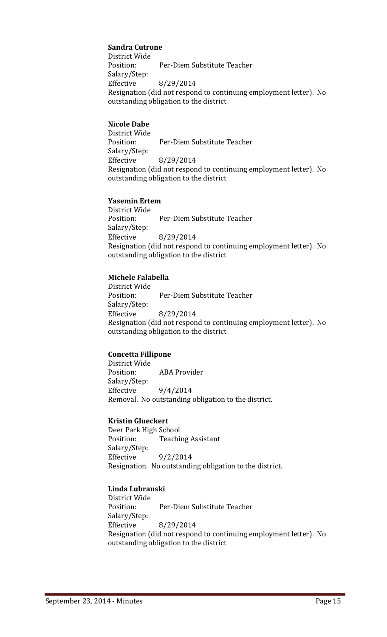# **Sandra Cutrone**

District Wide<br>Position: Per-Diem Substitute Teacher Salary/Step: Effective 8/29/2014 Resignation (did not respond to continuing employment letter). No outstanding obligation to the district

## **Nicole Dabe**

District Wide<br>Position: Per-Diem Substitute Teacher Salary/Step: Effective 8/29/2014 Resignation (did not respond to continuing employment letter). No outstanding obligation to the district

## **Yasemin Ertem**

District Wide Per-Diem Substitute Teacher Salary/Step:<br>Effective Effective 8/29/2014 Resignation (did not respond to continuing employment letter). No outstanding obligation to the district

# **Michele Falabella**

District Wide Per-Diem Substitute Teacher Salary/Step: Effective 8/29/2014 Resignation (did not respond to continuing employment letter). No outstanding obligation to the district

#### **Concetta Fillipone**

District Wide<br>Position: **ABA Provider** Salary/Step:<br>Effective  $9/4/2014$ Removal. No outstanding obligation to the district.

#### **Kristin Glueckert**

Deer Park High School<br>Position: Teachi **Teaching Assistant** Salary/Step:  $9/2/2014$ Resignation. No outstanding obligation to the district.

# **Linda Lubranski**

District Wide Position: Per-Diem Substitute Teacher Salary/Step:<br>Effective Effective 8/29/2014 Resignation (did not respond to continuing employment letter). No outstanding obligation to the district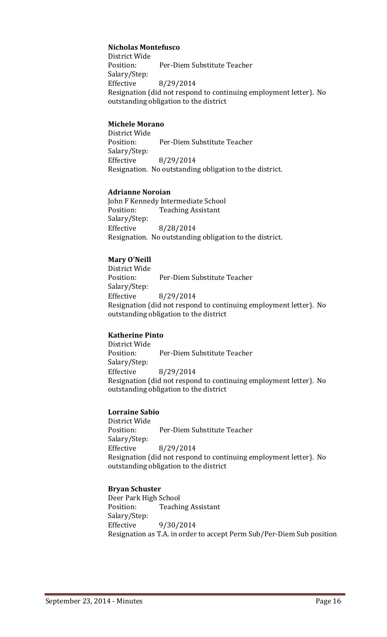## **Nicholas Montefusco**

District Wide<br>Position: Per-Diem Substitute Teacher Salary/Step: Effective 8/29/2014 Resignation (did not respond to continuing employment letter). No outstanding obligation to the district

# **Michele Morano**

District Wide Per-Diem Substitute Teacher Salary/Step: Effective 8/29/2014 Resignation. No outstanding obligation to the district.

#### **Adrianne Noroian**

John F Kennedy Intermediate School<br>Position: Teaching Assistant **Teaching Assistant** Salary/Step: Effective 8/28/2014 Resignation. No outstanding obligation to the district.

# **Mary O'Neill**

District Wide Per-Diem Substitute Teacher Salary/Step: Effective 8/29/2014 Resignation (did not respond to continuing employment letter). No outstanding obligation to the district

#### **Katherine Pinto**

District Wide Per-Diem Substitute Teacher Salary/Step:<br>Effective Effective 8/29/2014 Resignation (did not respond to continuing employment letter). No outstanding obligation to the district

# **Lorraine Sabio**

District Wide Per-Diem Substitute Teacher Salary/Step:<br>Effective Effective 8/29/2014 Resignation (did not respond to continuing employment letter). No outstanding obligation to the district

# **Bryan Schuster**

Deer Park High School Position: Teaching Assistant Salary/Step:<br>Effective Effective 9/30/2014 Resignation as T.A. in order to accept Perm Sub/Per-Diem Sub position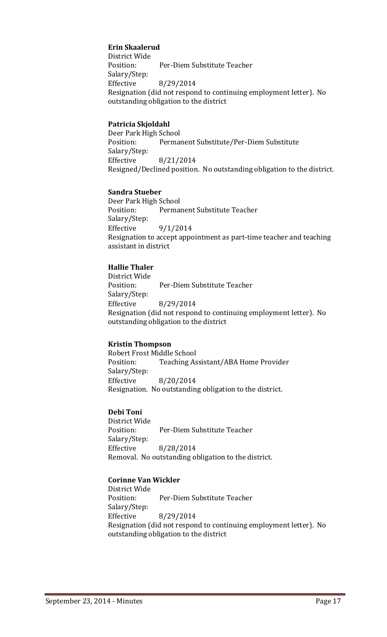# **Erin Skaalerud**

District Wide<br>Position: Per-Diem Substitute Teacher Salary/Step: Effective 8/29/2014 Resignation (did not respond to continuing employment letter). No outstanding obligation to the district

#### **Patricia Skjoldahl**

Deer Park High School<br>Position: Permai Permanent Substitute/Per-Diem Substitute Salary/Step: Effective 8/21/2014 Resigned/Declined position. No outstanding obligation to the district.

#### **Sandra Stueber**

Deer Park High School<br>Position: Perma Permanent Substitute Teacher Salary/Step:<br>Effective 9/1/2014 Resignation to accept appointment as part-time teacher and teaching assistant in district

#### **Hallie Thaler**

District Wide Per-Diem Substitute Teacher Salary/Step:<br>Effective Effective 8/29/2014 Resignation (did not respond to continuing employment letter). No outstanding obligation to the district

#### **Kristin Thompson**

Robert Frost Middle School<br>Position: Teaching As Teaching Assistant/ABA Home Provider Salary/Step: Effective 8/20/2014 Resignation. No outstanding obligation to the district.

#### **Debi Toni**

District Wide Per-Diem Substitute Teacher Salary/Step: Effective 8/28/2014 Removal. No outstanding obligation to the district.

#### **Corinne Van Wickler**

District Wide Per-Diem Substitute Teacher Salary/Step: Effective 8/29/2014 Resignation (did not respond to continuing employment letter). No outstanding obligation to the district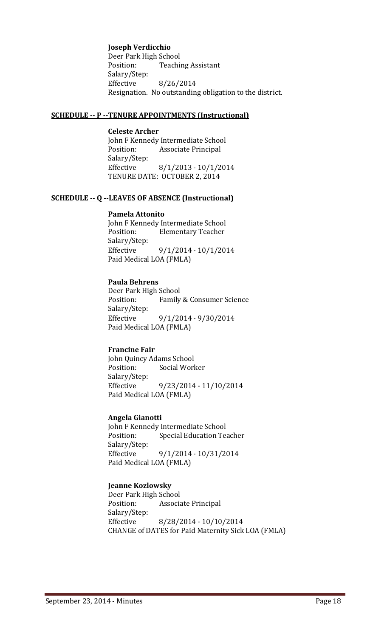#### **Joseph Verdicchio**

Deer Park High School<br>Position: Teachi **Teaching Assistant** Salary/Step:<br>Effective Effective 8/26/2014 Resignation. No outstanding obligation to the district.

#### **SCHEDULE -- P --TENURE APPOINTMENTS (Instructional)**

**Celeste Archer** John F Kennedy Intermediate School<br>Position: Associate Principal Associate Principal Salary/Step: Effective 8/1/2013 - 10/1/2014 TENURE DATE: OCTOBER 2, 2014

## **SCHEDULE -- Q --LEAVES OF ABSENCE (Instructional)**

#### **Pamela Attonito**

John F Kennedy Intermediate School<br>Position: Elementary Teacher **Elementary Teacher** Salary/Step:<br>Effective  $9/1/2014 - 10/1/2014$ Paid Medical LOA (FMLA)

# **Paula Behrens**

Deer Park High School Family & Consumer Science Salary/Step:<br>Effective Effective 9/1/2014 - 9/30/2014 Paid Medical LOA (FMLA)

#### **Francine Fair**

John Quincy Adams School Social Worker Salary/Step: Effective 9/23/2014 - 11/10/2014 Paid Medical LOA (FMLA)

#### **Angela Gianotti**

John F Kennedy Intermediate School<br>Position: Special Education Tea **Special Education Teacher** Salary/Step:<br>Effective Effective 9/1/2014 - 10/31/2014 Paid Medical LOA (FMLA)

#### **Jeanne Kozlowsky**

Deer Park High School Associate Principal Salary/Step:<br>Effective Effective 8/28/2014 - 10/10/2014 CHANGE of DATES for Paid Maternity Sick LOA (FMLA)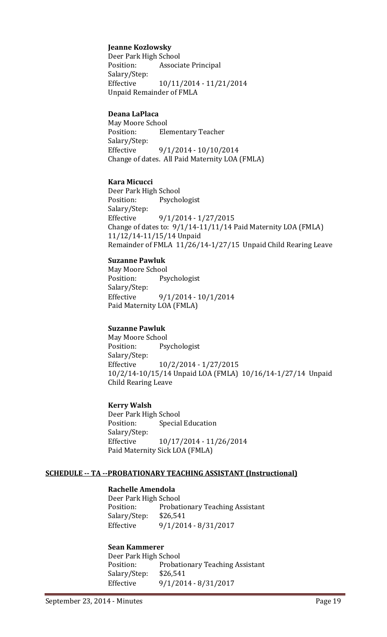## **Jeanne Kozlowsky**

Deer Park High School Associate Principal Salary/Step: Effective 10/11/2014 - 11/21/2014 Unpaid Remainder of FMLA

# **Deana LaPlaca**

May Moore School **Elementary Teacher** Salary/Step:<br>Effective Effective 9/1/2014 - 10/10/2014 Change of dates. All Paid Maternity LOA (FMLA)

#### **Kara Micucci**

Deer Park High School<br>Position: Psycho Psychologist Salary/Step:<br>Effective Effective 9/1/2014 - 1/27/2015 Change of dates to: 9/1/14-11/11/14 Paid Maternity LOA (FMLA) 11/12/14-11/15/14 Unpaid Remainder of FMLA 11/26/14-1/27/15 Unpaid Child Rearing Leave

## **Suzanne Pawluk**

May Moore School<br>Position: Psy Psychologist Salary/Step: Effective 9/1/2014 - 10/1/2014 Paid Maternity LOA (FMLA)

# **Suzanne Pawluk**

May Moore School<br>Position: Psy Psychologist Salary/Step:<br>Effective Effective 10/2/2014 - 1/27/2015 10/2/14-10/15/14 Unpaid LOA (FMLA) 10/16/14-1/27/14 Unpaid Child Rearing Leave

#### **Kerry Walsh**

Deer Park High School<br>Position: Special **Special Education** Salary/Step: Effective 10/17/2014 - 11/26/2014 Paid Maternity Sick LOA (FMLA)

#### **SCHEDULE -- TA --PROBATIONARY TEACHING ASSISTANT (Instructional)**

# **Rachelle Amendola**

Deer Park High School<br>Position: Probat Probationary Teaching Assistant<br>\$26,541 Salary/Step:<br>Effective Effective 9/1/2014 - 8/31/2017

# **Sean Kammerer**

Deer Park High School Probationary Teaching Assistant<br>\$26,541 Salary/Step:<br>Effective Effective 9/1/2014 - 8/31/2017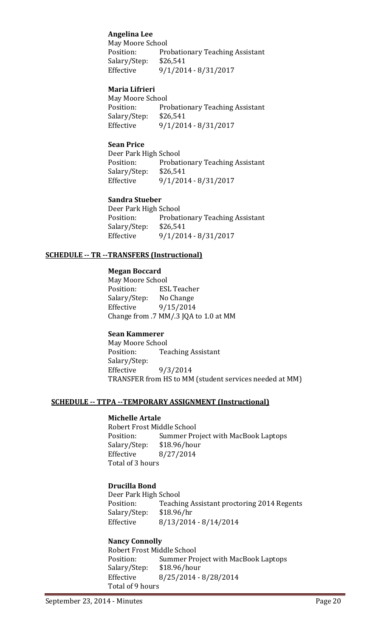# **Angelina Lee**

May Moore School<br>Position: Pro Probationary Teaching Assistant Salary/Step: \$26,541<br>Effective 9/1/201 Effective 9/1/2014 - 8/31/2017

## **Maria Lifrieri**

May Moore School<br>Position: Pro Probationary Teaching Assistant<br>\$26,541 Salary/Step:<br>Effective Effective 9/1/2014 - 8/31/2017

#### **Sean Price**

Deer Park High School<br>Position: Probat Probationary Teaching Assistant Salary/Step: \$26,541<br>Effective 9/1/201 Effective 9/1/2014 - 8/31/2017

# **Sandra Stueber**

Deer Park High School Probationary Teaching Assistant<br>\$26,541 Salary/Step:<br>Effective Effective 9/1/2014 - 8/31/2017

## **SCHEDULE -- TR --TRANSFERS (Instructional)**

#### **Megan Boccard**

May Moore School<br>Position: ESI ESL Teacher<br>No Change Salary/Step:<br>Effective Effective 9/15/2014 Change from .7 MM/.3 JQA to 1.0 at MM

# **Sean Kammerer**

May Moore School<br>Position: Tea **Teaching Assistant** Salary/Step:<br>Effective Effective 9/3/2014 TRANSFER from HS to MM (student services needed at MM)

#### **SCHEDULE -- TTPA --TEMPORARY ASSIGNMENT (Instructional)**

#### **Michelle Artale**

Robert Frost Middle School<br>Position: Summer Pro Summer Project with MacBook Laptops<br>\$18.96/hour Salary/Step: Effective 8/27/2014 Total of 3 hours

# **Drucilla Bond**

Deer Park High School<br>Position: Teachi Teaching Assistant proctoring 2014 Regents \$18.96/hr Salary/Step: Effective 8/13/2014 - 8/14/2014

#### **Nancy Connolly**

Robert Frost Middle School<br>Position: Summer Pro Summer Project with MacBook Laptops<br>\$18.96/hour Salary/Step:<br>Effective Effective 8/25/2014 - 8/28/2014 Total of 9 hours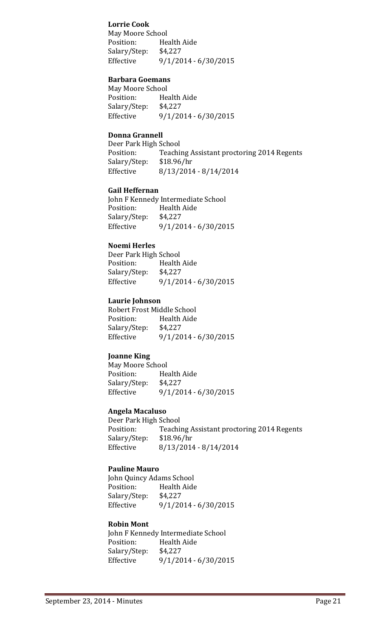# **Lorrie Cook**

May Moore School<br>Position: He Health Aide<br>\$4,227 Salary/Step:<br>Effective  $9/1/2014 - 6/30/2015$ 

## **Barbara Goemans**

May Moore School<br>Position: He Health Aide<br>\$4.227 Salary/Step:<br>Effective Effective 9/1/2014 - 6/30/2015

# **Donna Grannell**

Deer Park High School<br>Position: Teachi Teaching Assistant proctoring 2014 Regents<br>\$18.96/hr Salary/Step: Effective 8/13/2014 - 8/14/2014

## **Gail Heffernan**

John F Kennedy Intermediate School<br>Position: Health Aide Health Aide<br>\$4.227 Salary/Step:<br>Effective  $9/1/2014 - 6/30/2015$ 

## **Noemi Herles**

Deer Park High School<br>Position: Health Health Aide<br>\$4,227 Salary/Step:<br>Effective  $9/1/2014 - 6/30/2015$ 

## **Laurie Johnson**

Robert Frost Middle School<br>Position: Health Aide Health Aide<br>\$4.227 Salary/Step:<br>Effective Effective 9/1/2014 - 6/30/2015

#### **Joanne King**

May Moore School<br>Position: He Health Aide<br>\$4,227 Salary/Step:<br>Effective  $9/1/2014 - 6/30/2015$ 

# **Angela Macaluso**

Deer Park High School<br>Position: Teachi Teaching Assistant proctoring 2014 Regents<br>\$18.96/hr Salary/Step:<br>Effective Effective 8/13/2014 - 8/14/2014

# **Pauline Mauro**

John Quincy Adams School<br>Position: Health Aide Health Aide<br>\$4.227 Salary/Step:<br>Effective  $9/1/2014 - 6/30/2015$ 

#### **Robin Mont**

John F Kennedy Intermediate School<br>Position: Health Aide Health Aide<br>\$4,227 Salary/Step: Effective 9/1/2014 - 6/30/2015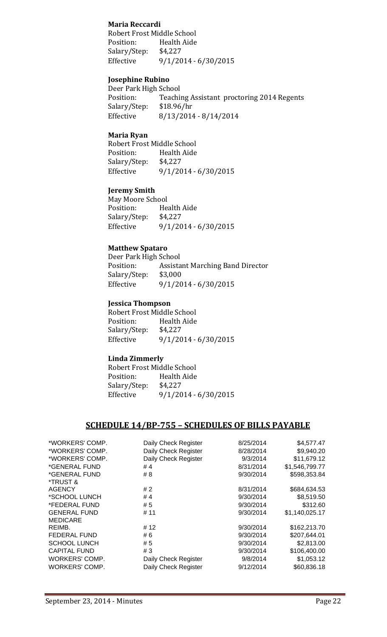# **Maria Reccardi**

Robert Frost Middle School<br>Position: Health Aide Health Aide<br>\$4.227 Salary/Step:<br>Effective  $9/1/2014 - 6/30/2015$ 

# **Josephine Rubino**

Deer Park High School<br>Position: Teachi Teaching Assistant proctoring 2014 Regents \$18.96/hr Salary/Step:<br>Effective Effective 8/13/2014 - 8/14/2014

#### **Maria Ryan**

Robert Frost Middle School<br>Position: Health Aide Health Aide Salary/Step: \$4,227<br>Effective 9/1/20 Effective 9/1/2014 - 6/30/2015

#### **Jeremy Smith**

May Moore School<br>Position: He Health Aide<br>\$4.227 Salary/Step:<br>Effective  $9/1/2014 - 6/30/2015$ 

#### **Matthew Spataro**

Deer Park High School<br>Position: Assista Assistant Marching Band Director<br>\$3,000 Salary/Step:<br>Effective  $9/1/2014 - 6/30/2015$ 

## **Jessica Thompson**

Robert Frost Middle School<br>Position: Health Aide Health Aide<br>\$4,227 Salary/Step: Effective 9/1/2014 - 6/30/2015

#### **Linda Zimmerly**

Robert Frost Middle School<br>Position: Health Aide Health Aide<br>\$4.227 Salary/Step:<br>Effective Effective 9/1/2014 - 6/30/2015

# **SCHEDULE 14/BP-755 – SCHEDULES OF BILLS PAYABLE**

| *WORKERS' COMP.     | Daily Check Register | 8/25/2014 | \$4,577.47     |
|---------------------|----------------------|-----------|----------------|
| *WORKERS' COMP.     | Daily Check Register | 8/28/2014 | \$9,940.20     |
| *WORKERS' COMP.     | Daily Check Register | 9/3/2014  | \$11,679.12    |
| *GENERAL FUND       | #4                   | 8/31/2014 | \$1,546,799.77 |
| *GENERAL FUND       | # 8                  | 9/30/2014 | \$598,353.84   |
| *TRUST &            |                      |           |                |
| <b>AGENCY</b>       | #2                   | 8/31/2014 | \$684,634.53   |
| *SCHOOL LUNCH       | # 4                  | 9/30/2014 | \$8,519.50     |
| *FEDERAL FUND       | #5                   | 9/30/2014 | \$312.60       |
| <b>GENERAL FUND</b> | # 11                 | 9/30/2014 | \$1,140,025.17 |
| <b>MEDICARE</b>     |                      |           |                |
| REIMB.              | # 12                 | 9/30/2014 | \$162,213.70   |
| FEDERAL FUND        | #6                   | 9/30/2014 | \$207,644.01   |
| <b>SCHOOL LUNCH</b> | #5                   | 9/30/2014 | \$2,813.00     |
| <b>CAPITAL FUND</b> | #3                   | 9/30/2014 | \$106,400.00   |
| WORKERS' COMP.      | Daily Check Register | 9/8/2014  | \$1,053.12     |
| WORKERS' COMP.      | Daily Check Register | 9/12/2014 | \$60,836.18    |
|                     |                      |           |                |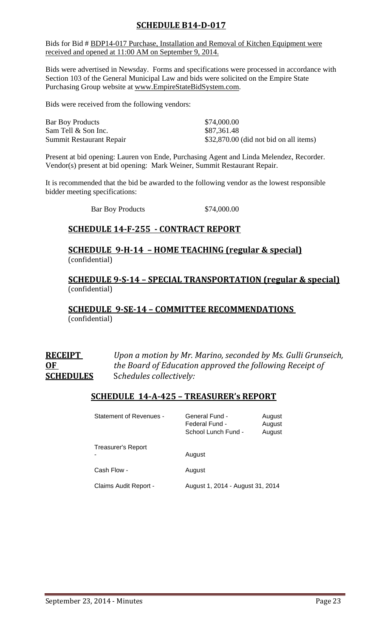# **SCHEDULE B14-D-017**

Bids for Bid # BDP14-017 Purchase, Installation and Removal of Kitchen Equipment were received and opened at 11:00 AM on September 9, 2014.

Bids were advertised in Newsday. Forms and specifications were processed in accordance with Section 103 of the General Municipal Law and bids were solicited on the Empire State Purchasing Group website at [www.EmpireStateBidSystem.com.](http://www.empirestatebidsystem.com/)

Bids were received from the following vendors:

| <b>Bar Boy Products</b>  | \$74,000.00                             |
|--------------------------|-----------------------------------------|
| Sam Tell & Son Inc.      | \$87,361.48                             |
| Summit Restaurant Repair | $$32,870.00$ (did not bid on all items) |

Present at bid opening: Lauren von Ende, Purchasing Agent and Linda Melendez, Recorder. Vendor(s) present at bid opening: Mark Weiner, Summit Restaurant Repair.

It is recommended that the bid be awarded to the following vendor as the lowest responsible bidder meeting specifications:

Bar Boy Products \$74,000.00

# **SCHEDULE 14-F-255 - CONTRACT REPORT**

# **SCHEDULE 9-H-14 – HOME TEACHING (regular & special)** (confidential)

# **SCHEDULE 9-S-14 – SPECIAL TRANSPORTATION (regular & special)** (confidential)

# **SCHEDULE 9-SE-14 – COMMITTEE RECOMMENDATIONS**  (confidential)

| <b>RECEIPT</b>   | Upon a motion by Mr. Marino, seconded by Ms. Gulli Grunseich, |
|------------------|---------------------------------------------------------------|
| 0 <sub>F</sub>   | the Board of Education approved the following Receipt of      |
| <b>SCHEDULES</b> | Schedules collectively:                                       |

# **SCHEDULE 14-A-425 – TREASURER's REPORT**

| <b>Statement of Revenues -</b> | General Fund -<br>August<br>Federal Fund -<br>August<br>School Lunch Fund -<br>August |  |
|--------------------------------|---------------------------------------------------------------------------------------|--|
| Treasurer's Report             | August                                                                                |  |
| Cash Flow -                    | August                                                                                |  |
| Claims Audit Report -          | August 1, 2014 - August 31, 2014                                                      |  |